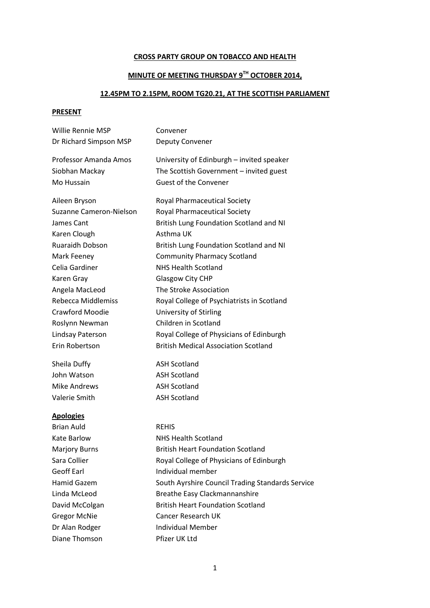## **CROSS PARTY GROUP ON TOBACCO AND HEALTH**

## **MINUTE OF MEETING THURSDAY 9TH OCTOBER 2014,**

## **12.45PM TO 2.15PM, ROOM TG20.21, AT THE SCOTTISH PARLIAMENT**

## **PRESENT**

| Willie Rennie MSP         | Convener                                         |
|---------------------------|--------------------------------------------------|
| Dr Richard Simpson MSP    | Deputy Convener                                  |
| Professor Amanda Amos     | University of Edinburgh - invited speaker        |
| Siobhan Mackay            | The Scottish Government - invited guest          |
| Mo Hussain                | <b>Guest of the Convener</b>                     |
| Aileen Bryson             | <b>Royal Pharmaceutical Society</b>              |
| Suzanne Cameron-Nielson   | <b>Royal Pharmaceutical Society</b>              |
| James Cant                | British Lung Foundation Scotland and NI          |
| Karen Clough              | Asthma UK                                        |
| Ruaraidh Dobson           | British Lung Foundation Scotland and NI          |
| Mark Feeney               | <b>Community Pharmacy Scotland</b>               |
| Celia Gardiner            | <b>NHS Health Scotland</b>                       |
| Karen Gray                | <b>Glasgow City CHP</b>                          |
| Angela MacLeod            | The Stroke Association                           |
| <b>Rebecca Middlemiss</b> | Royal College of Psychiatrists in Scotland       |
| <b>Crawford Moodie</b>    | <b>University of Stirling</b>                    |
| Roslynn Newman            | Children in Scotland                             |
| Lindsay Paterson          | Royal College of Physicians of Edinburgh         |
| Erin Robertson            | <b>British Medical Association Scotland</b>      |
| Sheila Duffy              | <b>ASH Scotland</b>                              |
| John Watson               | <b>ASH Scotland</b>                              |
| <b>Mike Andrews</b>       | <b>ASH Scotland</b>                              |
| Valerie Smith             | <b>ASH Scotland</b>                              |
| <b>Apologies</b>          |                                                  |
| <b>Brian Auld</b>         | <b>REHIS</b>                                     |
| Kate Barlow               | <b>NHS Health Scotland</b>                       |
| <b>Marjory Burns</b>      | <b>British Heart Foundation Scotland</b>         |
| Sara Collier              | Royal College of Physicians of Edinburgh         |
| <b>Geoff Earl</b>         | Individual member                                |
| <b>Hamid Gazem</b>        | South Ayrshire Council Trading Standards Service |
| Linda McLeod              | <b>Breathe Easy Clackmannanshire</b>             |
| David McColgan            | <b>British Heart Foundation Scotland</b>         |
| <b>Gregor McNie</b>       | <b>Cancer Research UK</b>                        |
| Dr Alan Rodger            | <b>Individual Member</b>                         |
| Diane Thomson             | Pfizer UK Ltd                                    |
|                           |                                                  |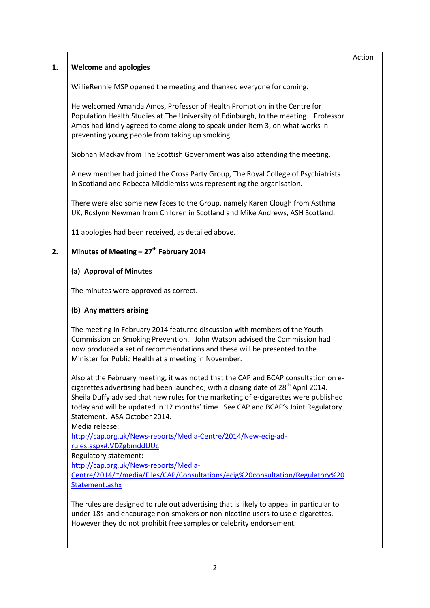|    |                                                                                                                                                                                                                                                                                                                                                                                                                     | Action |
|----|---------------------------------------------------------------------------------------------------------------------------------------------------------------------------------------------------------------------------------------------------------------------------------------------------------------------------------------------------------------------------------------------------------------------|--------|
| 1. | <b>Welcome and apologies</b>                                                                                                                                                                                                                                                                                                                                                                                        |        |
|    | WillieRennie MSP opened the meeting and thanked everyone for coming.                                                                                                                                                                                                                                                                                                                                                |        |
|    | He welcomed Amanda Amos, Professor of Health Promotion in the Centre for<br>Population Health Studies at The University of Edinburgh, to the meeting. Professor<br>Amos had kindly agreed to come along to speak under item 3, on what works in<br>preventing young people from taking up smoking.                                                                                                                  |        |
|    | Siobhan Mackay from The Scottish Government was also attending the meeting.                                                                                                                                                                                                                                                                                                                                         |        |
|    | A new member had joined the Cross Party Group, The Royal College of Psychiatrists<br>in Scotland and Rebecca Middlemiss was representing the organisation.                                                                                                                                                                                                                                                          |        |
|    | There were also some new faces to the Group, namely Karen Clough from Asthma<br>UK, Roslynn Newman from Children in Scotland and Mike Andrews, ASH Scotland.                                                                                                                                                                                                                                                        |        |
|    | 11 apologies had been received, as detailed above.                                                                                                                                                                                                                                                                                                                                                                  |        |
| 2. | Minutes of Meeting - 27 <sup>th</sup> February 2014                                                                                                                                                                                                                                                                                                                                                                 |        |
|    | (a) Approval of Minutes                                                                                                                                                                                                                                                                                                                                                                                             |        |
|    | The minutes were approved as correct.                                                                                                                                                                                                                                                                                                                                                                               |        |
|    | (b) Any matters arising                                                                                                                                                                                                                                                                                                                                                                                             |        |
|    | The meeting in February 2014 featured discussion with members of the Youth<br>Commission on Smoking Prevention. John Watson advised the Commission had<br>now produced a set of recommendations and these will be presented to the<br>Minister for Public Health at a meeting in November.                                                                                                                          |        |
|    | Also at the February meeting, it was noted that the CAP and BCAP consultation on e-<br>cigarettes advertising had been launched, with a closing date of 28 <sup>th</sup> April 2014.<br>Sheila Duffy advised that new rules for the marketing of e-cigarettes were published<br>today and will be updated in 12 months' time. See CAP and BCAP's Joint Regulatory<br>Statement. ASA October 2014.<br>Media release: |        |
|    | http://cap.org.uk/News-reports/Media-Centre/2014/New-ecig-ad-                                                                                                                                                                                                                                                                                                                                                       |        |
|    | rules.aspx#.VDZgbmddUUc<br>Regulatory statement:                                                                                                                                                                                                                                                                                                                                                                    |        |
|    | http://cap.org.uk/News-reports/Media-                                                                                                                                                                                                                                                                                                                                                                               |        |
|    | Centre/2014/~/media/Files/CAP/Consultations/ecig%20consultation/Regulatory%20<br>Statement.ashx                                                                                                                                                                                                                                                                                                                     |        |
|    | The rules are designed to rule out advertising that is likely to appeal in particular to<br>under 18s and encourage non-smokers or non-nicotine users to use e-cigarettes.<br>However they do not prohibit free samples or celebrity endorsement.                                                                                                                                                                   |        |